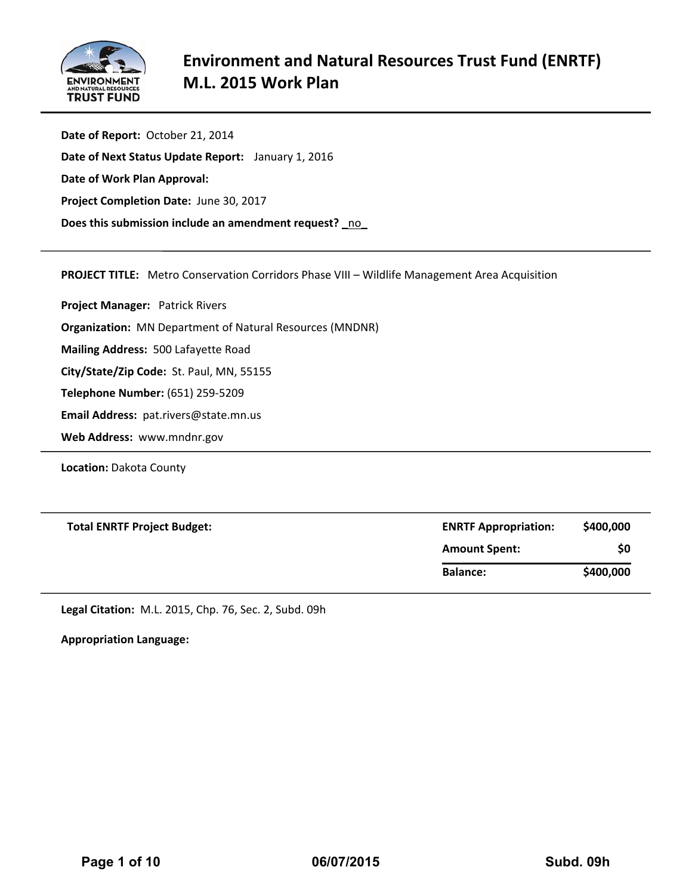

**Date of Report:** October 21, 2014 **Date of Next Status Update Report:** January 1, 2016 **Date of Work Plan Approval: Project Completion Date:** June 30, 2017 **Does this submission include an amendment request? \_**no**\_**

**PROJECT TITLE:** Metro Conservation Corridors Phase VIII – Wildlife Management Area Acquisition

**Project Manager:**  Patrick Rivers

**Organization:** MN Department of Natural Resources (MNDNR)

**Mailing Address:** 500 Lafayette Road

**City/State/Zip Code:** St. Paul, MN, 55155

**Telephone Number:** (651) 259‐5209

**Email Address:** pat.rivers@state.mn.us

**Web Address:** www.mndnr.gov

**Location:** Dakota County

| <b>Total ENRTF Project Budget:</b> | <b>ENRTF Appropriation:</b> | \$400,000 |  |  |
|------------------------------------|-----------------------------|-----------|--|--|
|                                    | <b>Amount Spent:</b>        | \$0       |  |  |
|                                    | <b>Balance:</b>             | \$400,000 |  |  |

**Legal Citation:** M.L. 2015, Chp. 76, Sec. 2, Subd. 09h

**Appropriation Language:**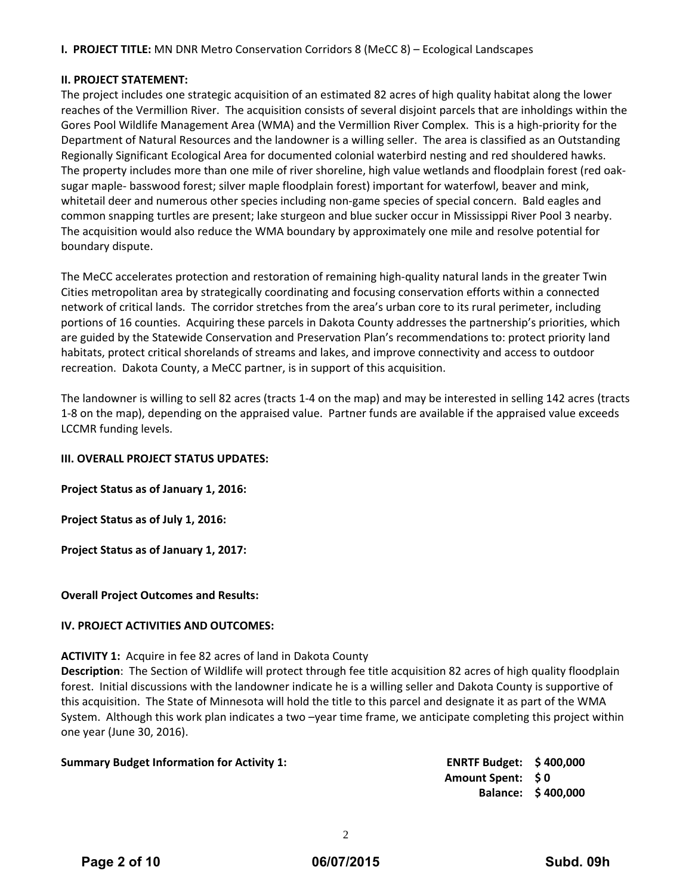**I. PROJECT TITLE:** MN DNR Metro Conservation Corridors 8 (MeCC 8) – Ecological Landscapes

#### **II. PROJECT STATEMENT:**

The project includes one strategic acquisition of an estimated 82 acres of high quality habitat along the lower reaches of the Vermillion River. The acquisition consists of several disjoint parcels that are inholdings within the Gores Pool Wildlife Management Area (WMA) and the Vermillion River Complex. This is a high‐priority for the Department of Natural Resources and the landowner is a willing seller. The area is classified as an Outstanding Regionally Significant Ecological Area for documented colonial waterbird nesting and red shouldered hawks. The property includes more than one mile of river shoreline, high value wetlands and floodplain forest (red oak‐ sugar maple‐ basswood forest; silver maple floodplain forest) important for waterfowl, beaver and mink, whitetail deer and numerous other species including non-game species of special concern. Bald eagles and common snapping turtles are present; lake sturgeon and blue sucker occur in Mississippi River Pool 3 nearby. The acquisition would also reduce the WMA boundary by approximately one mile and resolve potential for boundary dispute.

The MeCC accelerates protection and restoration of remaining high-quality natural lands in the greater Twin Cities metropolitan area by strategically coordinating and focusing conservation efforts within a connected network of critical lands. The corridor stretches from the area's urban core to its rural perimeter, including portions of 16 counties. Acquiring these parcels in Dakota County addresses the partnership's priorities, which are guided by the Statewide Conservation and Preservation Plan's recommendations to: protect priority land habitats, protect critical shorelands of streams and lakes, and improve connectivity and access to outdoor recreation. Dakota County, a MeCC partner, is in support of this acquisition.

The landowner is willing to sell 82 acres (tracts 1‐4 on the map) and may be interested in selling 142 acres (tracts 1‐8 on the map), depending on the appraised value. Partner funds are available if the appraised value exceeds LCCMR funding levels.

#### **III. OVERALL PROJECT STATUS UPDATES:**

**Project Status as of January 1, 2016:** 

**Project Status as of July 1, 2016:** 

**Project Status as of January 1, 2017:** 

**Overall Project Outcomes and Results:**

#### **IV. PROJECT ACTIVITIES AND OUTCOMES:**

#### **ACTIVITY 1:** Acquire in fee 82 acres of land in Dakota County

**Description**: The Section of Wildlife will protect through fee title acquisition 82 acres of high quality floodplain forest. Initial discussions with the landowner indicate he is a willing seller and Dakota County is supportive of this acquisition. The State of Minnesota will hold the title to this parcel and designate it as part of the WMA System. Although this work plan indicates a two –year time frame, we anticipate completing this project within one year (June 30, 2016).

| <b>Summary Budget Information for Activity 1:</b> |
|---------------------------------------------------|
|---------------------------------------------------|

**Summary Budget Information for Activity 1: ENRTF Budget: \$ 400,000 Amount Spent: \$ 0 Balance: \$ 400,000**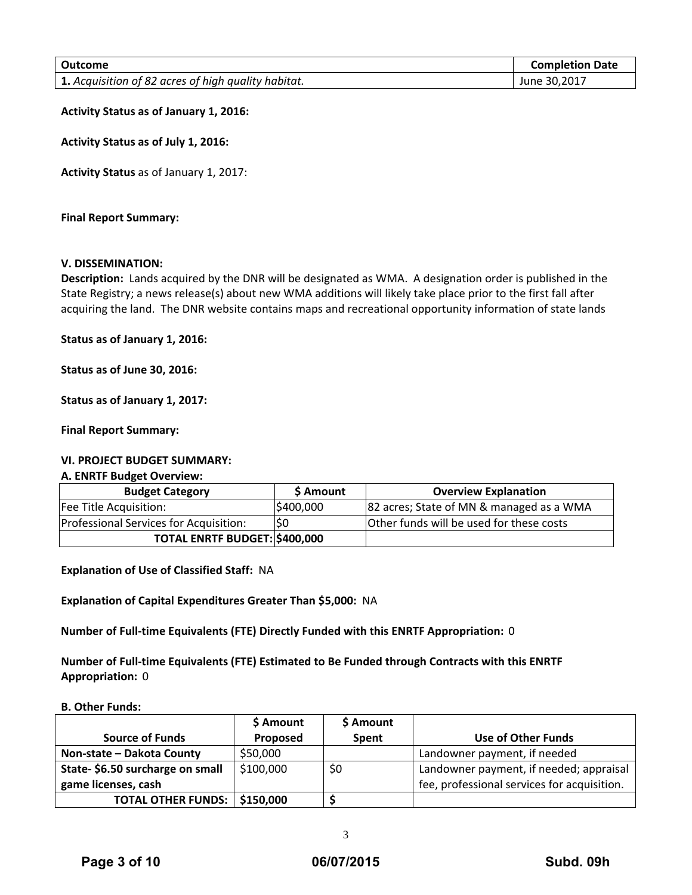| Outcome                                             | <b>Completion Date</b> |
|-----------------------------------------------------|------------------------|
| 1. Acquisition of 82 acres of high quality habitat. | June 30,2017           |

**Activity Status as of January 1, 2016:**

**Activity Status as of July 1, 2016:**

**Activity Status** as of January 1, 2017:

**Final Report Summary:**

#### **V. DISSEMINATION:**

**Description:** Lands acquired by the DNR will be designated as WMA. A designation order is published in the State Registry; a news release(s) about new WMA additions will likely take place prior to the first fall after acquiring the land. The DNR website contains maps and recreational opportunity information of state lands

**Status as of January 1, 2016:** 

**Status as of June 30, 2016:**

**Status as of January 1, 2017:**

**Final Report Summary:**

#### **VI. PROJECT BUDGET SUMMARY:**

#### **A. ENRTF Budget Overview:**

| <b>Budget Category</b>                 | \$ Amount | <b>Overview Explanation</b>              |
|----------------------------------------|-----------|------------------------------------------|
| Fee Title Acquisition:                 | \$400,000 | 82 acres; State of MN & managed as a WMA |
| Professional Services for Acquisition: | lS0       | Other funds will be used for these costs |
| TOTAL ENRTF BUDGET: \$400,000          |           |                                          |

**Explanation of Use of Classified Staff:** NA

**Explanation of Capital Expenditures Greater Than \$5,000:** NA

**Number of Full‐time Equivalents (FTE) Directly Funded with this ENRTF Appropriation:** 0

**Number of Full‐time Equivalents (FTE) Estimated to Be Funded through Contracts with this ENRTF Appropriation:** 0

#### **B. Other Funds:**

|                                 | \$ Amount | \$ Amount    |                                             |
|---------------------------------|-----------|--------------|---------------------------------------------|
| <b>Source of Funds</b>          | Proposed  | <b>Spent</b> | Use of Other Funds                          |
| Non-state - Dakota County       | \$50,000  |              | Landowner payment, if needed                |
| State-\$6.50 surcharge on small | \$100,000 | \$0          | Landowner payment, if needed; appraisal     |
| game licenses, cash             |           |              | fee, professional services for acquisition. |
| <b>TOTAL OTHER FUNDS:  </b>     | \$150,000 |              |                                             |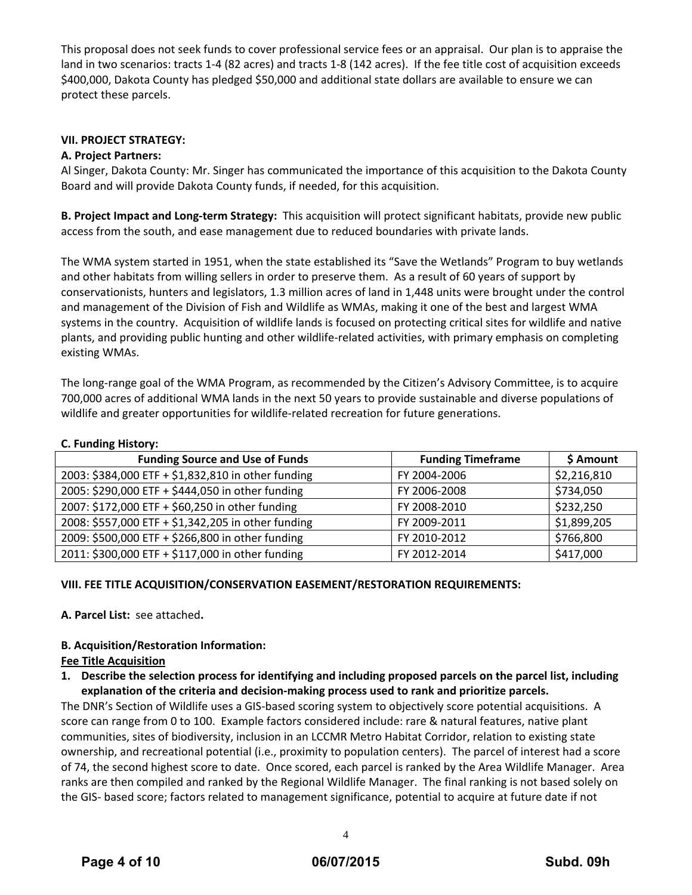This proposal does not seek funds to cover professional service fees or an appraisal. Our plan is to appraise the land in two scenarios: tracts 1‐4 (82 acres) and tracts 1‐8 (142 acres). If the fee title cost of acquisition exceeds \$400,000, Dakota County has pledged \$50,000 and additional state dollars are available to ensure we can protect these parcels.

#### **VII. PROJECT STRATEGY:**

#### **A. Project Partners:**

Al Singer, Dakota County: Mr. Singer has communicated the importance of this acquisition to the Dakota County Board and will provide Dakota County funds, if needed, for this acquisition.

**B. Project Impact and Long‐term Strategy:** This acquisition will protect significant habitats, provide new public access from the south, and ease management due to reduced boundaries with private lands.

The WMA system started in 1951, when the state established its "Save the Wetlands" Program to buy wetlands and other habitats from willing sellers in order to preserve them. As a result of 60 years of support by conservationists, hunters and legislators, 1.3 million acres of land in 1,448 units were brought under the control and management of the Division of Fish and Wildlife as WMAs, making it one of the best and largest WMA systems in the country. Acquisition of wildlife lands is focused on protecting critical sites for wildlife and native plants, and providing public hunting and other wildlife‐related activities, with primary emphasis on completing existing WMAs.

The long‐range goal of the WMA Program, as recommended by the Citizen's Advisory Committee, is to acquire 700,000 acres of additional WMA lands in the next 50 years to provide sustainable and diverse populations of wildlife and greater opportunities for wildlife-related recreation for future generations.

#### **C. Funding History:**

| <b>Funding Source and Use of Funds</b>             | <b>Funding Timeframe</b> | \$ Amount   |  |  |
|----------------------------------------------------|--------------------------|-------------|--|--|
| 2003: \$384,000 ETF + \$1,832,810 in other funding | FY 2004-2006             | \$2,216,810 |  |  |
| 2005: \$290,000 ETF + \$444,050 in other funding   | FY 2006-2008             | \$734,050   |  |  |
| 2007: \$172,000 ETF + \$60,250 in other funding    | FY 2008-2010             | \$232,250   |  |  |
| 2008: \$557,000 ETF + \$1,342,205 in other funding | FY 2009-2011             | \$1,899,205 |  |  |
| 2009: \$500,000 ETF + \$266,800 in other funding   | FY 2010-2012             | \$766,800   |  |  |
| 2011: \$300,000 ETF + \$117,000 in other funding   | FY 2012-2014             | \$417,000   |  |  |

#### **VIII. FEE TITLE ACQUISITION/CONSERVATION EASEMENT/RESTORATION REQUIREMENTS:**

**A. Parcel List:** see attached**.**

#### **B. Acquisition/Restoration Information:**

#### **Fee Title Acquisition**

**1. Describe the selection process for identifying and including proposed parcels on the parcel list, including explanation of the criteria and decision‐making process used to rank and prioritize parcels.**

The DNR's Section of Wildlife uses a GIS‐based scoring system to objectively score potential acquisitions. A score can range from 0 to 100. Example factors considered include: rare & natural features, native plant communities, sites of biodiversity, inclusion in an LCCMR Metro Habitat Corridor, relation to existing state ownership, and recreational potential (i.e., proximity to population centers). The parcel of interest had a score of 74, the second highest score to date. Once scored, each parcel is ranked by the Area Wildlife Manager. Area ranks are then compiled and ranked by the Regional Wildlife Manager. The final ranking is not based solely on the GIS‐ based score; factors related to management significance, potential to acquire at future date if not

4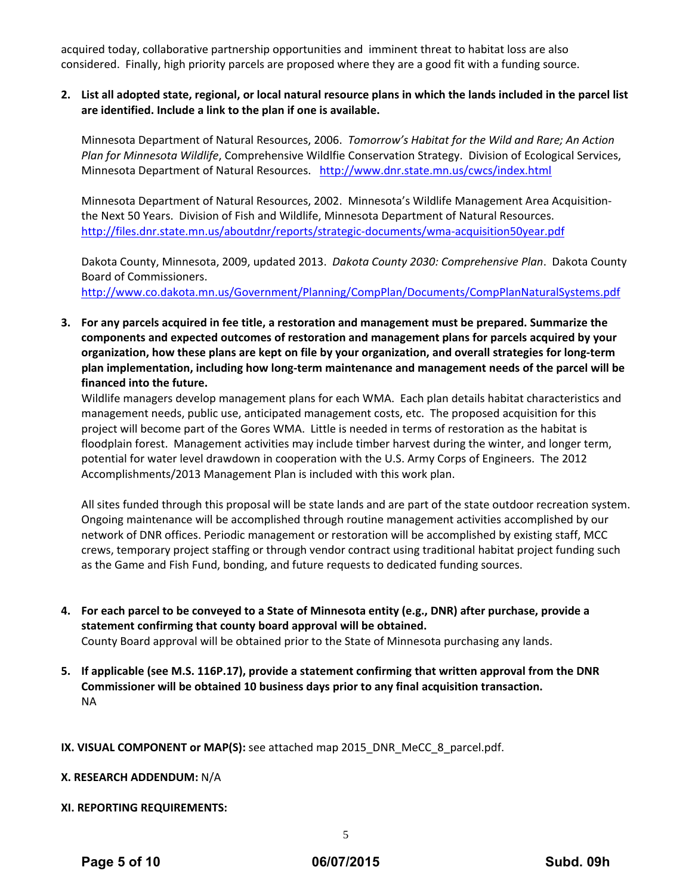acquired today, collaborative partnership opportunities and imminent threat to habitat loss are also considered. Finally, high priority parcels are proposed where they are a good fit with a funding source.

#### 2. List all adopted state, regional, or local natural resource plans in which the lands included in the parcel list **are identified. Include a link to the plan if one is available.**

Minnesota Department of Natural Resources, 2006. *Tomorrow's Habitat for the Wild and Rare; An Action Plan for Minnesota Wildlife*, Comprehensive Wildlfie Conservation Strategy. Division of Ecological Services, Minnesota Department of Natural Resources. http://www.dnr.state.mn.us/cwcs/index.html

Minnesota Department of Natural Resources, 2002. Minnesota's Wildlife Management Area Acquisition‐ the Next 50 Years. Division of Fish and Wildlife, Minnesota Department of Natural Resources. http://files.dnr.state.mn.us/aboutdnr/reports/strategic‐documents/wma‐acquisition50year.pdf

Dakota County, Minnesota, 2009, updated 2013. *Dakota County 2030: Comprehensive Plan*. Dakota County Board of Commissioners. http://www.co.dakota.mn.us/Government/Planning/CompPlan/Documents/CompPlanNaturalSystems.pdf

**3. For any parcels acquired in fee title, a restoration and management must be prepared. Summarize the components and expected outcomes of restoration and management plans for parcels acquired by your** organization, how these plans are kept on file by your organization, and overall strategies for long-term **plan implementation, including how long‐term maintenance and management needs of the parcel will be financed into the future.** 

Wildlife managers develop management plans for each WMA. Each plan details habitat characteristics and management needs, public use, anticipated management costs, etc. The proposed acquisition for this project will become part of the Gores WMA. Little is needed in terms of restoration as the habitat is floodplain forest. Management activities may include timber harvest during the winter, and longer term, potential for water level drawdown in cooperation with the U.S. Army Corps of Engineers. The 2012 Accomplishments/2013 Management Plan is included with this work plan.

All sites funded through this proposal will be state lands and are part of the state outdoor recreation system. Ongoing maintenance will be accomplished through routine management activities accomplished by our network of DNR offices. Periodic management or restoration will be accomplished by existing staff, MCC crews, temporary project staffing or through vendor contract using traditional habitat project funding such as the Game and Fish Fund, bonding, and future requests to dedicated funding sources.

- 4. For each parcel to be conveyed to a State of Minnesota entity (e.g., DNR) after purchase, provide a **statement confirming that county board approval will be obtained.** County Board approval will be obtained prior to the State of Minnesota purchasing any lands.
- **5. If applicable (see M.S. 116P.17), provide a statement confirming that written approval from the DNR Commissioner will be obtained 10 business days prior to any final acquisition transaction.** NA
- **IX. VISUAL COMPONENT or MAP(S):** see attached map 2015\_DNR\_MeCC\_8\_parcel.pdf.
- **X. RESEARCH ADDENDUM:** N/A
- **XI. REPORTING REQUIREMENTS:**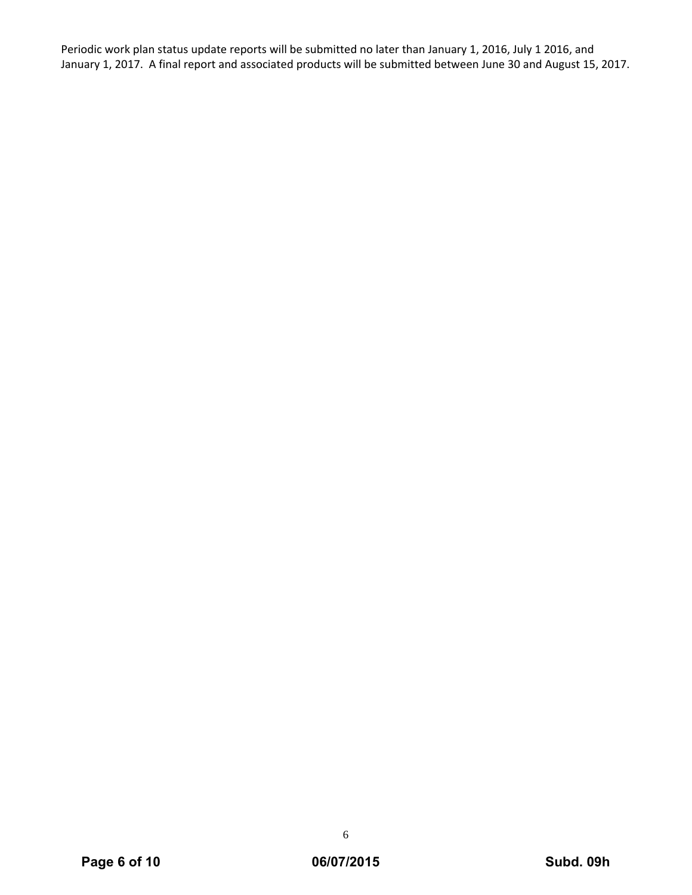Periodic work plan status update reports will be submitted no later than January 1, 2016, July 1 2016, and January 1, 2017. A final report and associated products will be submitted between June 30 and August 15, 2017.

6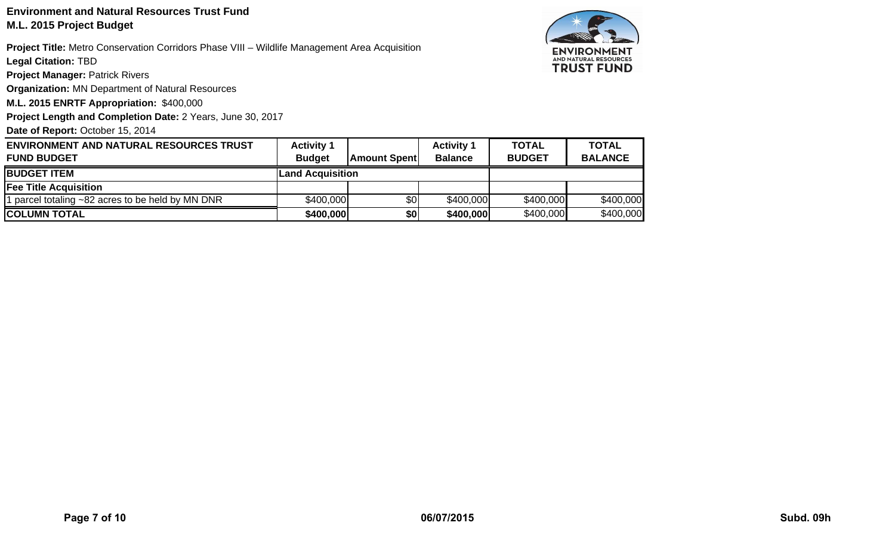## **Environment and Natural Resources Trust FundM.L. 2015 Project Budget**

**Project Title:** Metro Conservation Corridors Phase VIII – Wildlife Management Area Acquisition

**Legal Citation:** TBD

**Project Manager: Patrick Rivers** 

**Organization:** MN Department of Natural Resources

**M.L. 2015 ENRTF Appropriation:** \$400,000

**Project Length and Completion Date:** 2 Years, June 30, 2017

Date of Report: October 15, 2014



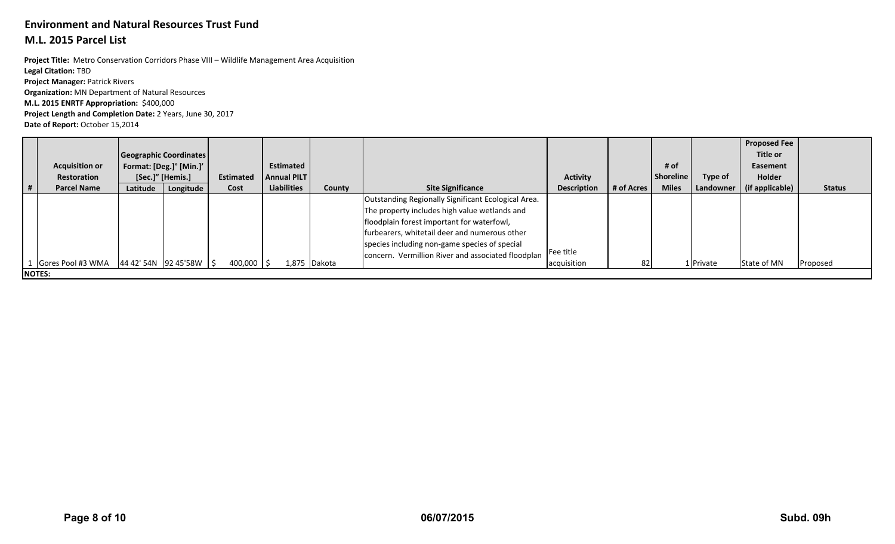## **Environment and Natural Resources Trust Fund**

### **M.L. 2015 Parcel List**

**Project Length and Completion Date:** 2 Years, June 30, 2017 **Project Manager:** Patrick Rivers **Organization:** MN Department of Natural Resources **M.L. 2015 ENRTF Appropriation:** \$400,000 **Project Title:** Metro Conservation Corridors Phase VIII – Wildlife Management Area Acquisition **Legal Citation:** TBD

**Date of Report:** October 15,2014

|   | <b>Acquisition or</b><br><b>Restoration</b> | Geographic Coordinates<br>Format: [Deg.]° [Min.]'<br>[Sec.]" [Hemis.] |           |  | Estimated    | <b>Estimated</b><br><b>Annual PILT</b> |  |              |                                                                                                                                                                                                                                                                                                            | <b>Activity</b>          |            | # of<br>Shoreline | Type of   | <b>Proposed Fee</b><br>Title or<br>Easement<br>Holder |               |
|---|---------------------------------------------|-----------------------------------------------------------------------|-----------|--|--------------|----------------------------------------|--|--------------|------------------------------------------------------------------------------------------------------------------------------------------------------------------------------------------------------------------------------------------------------------------------------------------------------------|--------------------------|------------|-------------------|-----------|-------------------------------------------------------|---------------|
| # | <b>Parcel Name</b>                          | Latitude                                                              | Longitude |  | Cost         | <b>Liabilities</b>                     |  | County       | <b>Site Significance</b>                                                                                                                                                                                                                                                                                   | <b>Description</b>       | # of Acres | <b>Miles</b>      | Landowner | (if applicable)                                       | <b>Status</b> |
|   | Gores Pool #3 WMA                           | 44 42' 54N 92 45'58W   \$                                             |           |  | $400,000$ \$ |                                        |  | 1,875 Dakota | Outstanding Regionally Significant Ecological Area.<br>The property includes high value wetlands and<br>floodplain forest important for waterfowl,<br>furbearers, whitetail deer and numerous other<br>species including non-game species of special<br>concern. Vermillion River and associated floodplan | Fee title<br>acquisition | 82         |                   | 1 Private | State of MN                                           | Proposed      |
|   | <b>NOTES:</b>                               |                                                                       |           |  |              |                                        |  |              |                                                                                                                                                                                                                                                                                                            |                          |            |                   |           |                                                       |               |